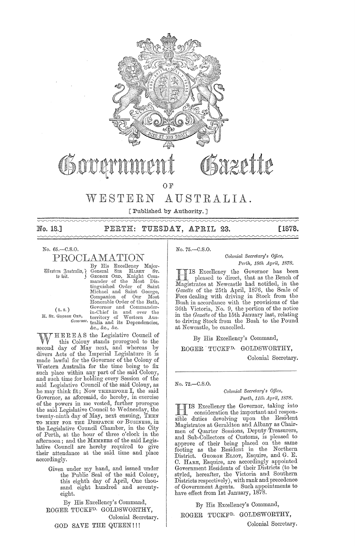

## WESTERN AUSTRALIA.

[Published by Authority. ]

| No. 18.] | PERTH: TUESDAY, APRIL 23. |  | [1878. |
|----------|---------------------------|--|--------|
|          |                           |  |        |

No. 65.-C.S.O.

PROOLAMATION

By His Excellency Major-(!liju;tmr ~n"trari;l'} General SIR HARRY ST. tli iuit. GEOBGE ORD, Knight CDm-mander .of the MDst Dis. tinguished Order .of Saint Michael and Saint George,<br>Companion of Our Most Honorable Order of the Bath, (L.S.) Governor and Commander-<br>
I. Sr. George Ord, territory of Western Aus-*Governor.* tralia and its Dependencies, &c., &c., &c.

W HEREAS the Legislative Council of<br>this Colony stands prorogued to the<br>space of Max part, and whereas by second day of May next, and whereas by divers Acts of the Imperial Legislature it is made lawful for the Governor of the Colony of vVestern Australia for the time being to fix such place within any part of the said Colony, and such time for holding every Session of the said Legislative Council of the said Colony, as he may think fit; Now THEREFORE I, the said Governor, as aforesaid, do hereby, in exercise of the powers in me vested, further prorogue the said Legislative Council to Wednesday, the twenty-ninth day of May, next ensuing, THEN TO MEET FOR THE DESPATCH OF BUSINESS, in the Legislative Council Chamber, in the City of Perth, at the hour of three o'clock in the afternoon; and the MEMBERS of the said Legislative Council are hereby required to give their attendance at the said time and place accordingly.

> Given under my hand, and issued under the Public Seal of the said Colony, this eighth day of April, One thousand eight hundred and seventyeight.

By His Excellency's Command, ROGER TUCKFD. GOLDSWORTHY, Colonial Secretary. GOD SAVE THE QUEEN!!!

*Colonial Secretm'Y's Office,* 

*Pm'l/" 18th Apl'il, 1878.* 

**III** IS Excellency the Governor has been<br>pleased to direct, that as the Bench of IS Excellency the Governor has been Magistrates at Newcastle had notified, in the *Gazette* of the 25th April, 1876, the Scale of Fees dealing with driving in Stock from the Bush in accordance with the provisions of the 36th Victoria, No. 9, the portion of the notice in the *Gnzette* of the 15th January last, relating to driving' Stock from the Bush to the Pound at Newcastle, be cancelled.

By His Excellency's Command,

ROGER TUCKF<sup>D.</sup> GOLDSWORTHY,

Colonial Secretary.

No. 72.-C.S.O.

No. 75.-C.S.0.

*Colonial Secretary's Office,* Perth, 11th April, 1878.

IS Excellency the Governor, taking into consideration the important and responsible duties devolving upon the Resident Magistrates at Geraldton and Albany as Chair- men of Quarter Sessions, Deputy.Treasurers, and Sub-Collectors of Customs, is pleased to approve of their being placed on the same footing as the Resident in the Northern District. GEORGE ELIOT, Esquire, and G. E. C. HARE, Esquire, are accordingly appointed Government Residents of their Districts (to be styled, hereafter, the Victoria and Southern Districts respectively), with rank and precedence of Government Agents. Such appointments to have effect from 1st January, 1878.

By His Excellency's Command,

ROGER TUCKFD. GOLDSWORTHY,

Oolonial Secretary.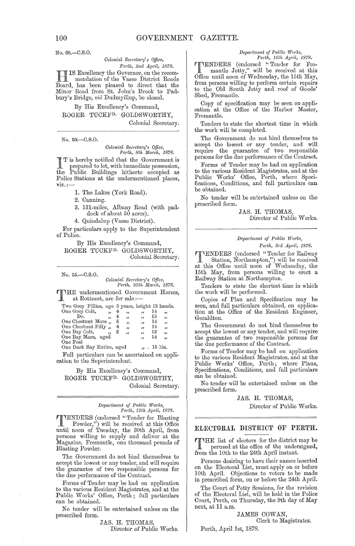No. 68.-C.S.O.

### Colonial Secretary's Office, Perth, 2nd April, 1878.

IS Excellency the Governor, on the recommendation of the Vasse District Roads Board, has been pleased to direct that the Minor Road from St. John's Brook to Padbury's Bridge, *vid* Dudmyillup, be closed.

By His Excellency's Command, ROGER TUCKF<sup>D.</sup> GOLDSWORTHY, Colonial Secretary.

No. 50.-C.S.O.

# Colonial Secretary's Office,<br>Perth, 8th March, 1878.

T is hereby notified that the Government is<br>prepared to let with in prepared to let, with immediate possession, Public Buildings hitherto occupied as the. Police Stations at the undermentioned places,  $\overline{v}$ iz.

- 1. The Lakes (York Road).
- 2. Canning.

 $\overline{a}$   $\overline{a}$   $\overline{a}$   $\overline{a}$   $\overline{a}$   $\overline{a}$   $\overline{a}$   $\overline{a}$ 

- 3. 131-miles, Albany Road (with paddock of about 50 acres).
- 4. Quindalup (Vasse District).

For particulars apply to the Superintendent of Police.

By His Excellency's Command, ROGER TUCKF<sup>D.</sup> GOLDSWORTHY, Colonial Secretary.

| No. 55.—0.8.0.                                                        |                                                      |        |              |                                                          |            |          |  |
|-----------------------------------------------------------------------|------------------------------------------------------|--------|--------------|----------------------------------------------------------|------------|----------|--|
|                                                                       |                                                      |        |              | Colonial Secretary's Office,<br>Perth, 25th March, 1878. |            |          |  |
| THE undermentioned Government Horses,<br>at Rottnest, are for sale :- |                                                      |        |              |                                                          |            |          |  |
| Two Grey Fillies, age 3 years, height 13 hands.                       |                                                      |        |              |                                                          |            |          |  |
| One Grey Colt,<br>Do.                                                 | $\overline{\phantom{a}}$<br>$\overline{\phantom{a}}$ | 4<br>4 | ,,<br>رو     | دد<br>$\sim$ 35                                          | 14<br>15   | ,,<br>,, |  |
| One Chestnut Mare,                                                    |                                                      | 5      | وو           | $^{\prime}$                                              | 14         | دد       |  |
| One Chestnut Filly,<br>One Bay Colt,                                  | ,,                                                   | 4<br>2 | $55 -$<br>,, | $^{\prime}$<br>$\overline{\phantom{a}}$                  | 14<br>12   | دد<br>وو |  |
| One Bay Mare, aged<br>One Foal                                        |                                                      |        |              | ,,                                                       | 14         | وو       |  |
| One Dark Bay Entire, aged                                             |                                                      |        |              |                                                          | ", 15 lin. |          |  |

Full particulars can be ascertained on application to the Superintendent.

By His Excellency's Command, ROGER TUCKF<sup>D.</sup> GOLDSWORTHY, Colonial Secretary.

 $\begin{tabular}{ll} Department \ of \ Public \ Works, \\ Perth, \ 12th \ April, \ 1878. \end{tabular}$ 

TENDERS (endorsed "Tender for Blasting<br>Powder") will be well as the contract of the Blasting Powder,") will be received at this Office<br>until noon of Tuesday, the 30th April, from persons willing to supply and deliver at the Magazine, Fremantle, one thousand pounds of Blasting Powder.

The Government do not bind themselves to accept the lowest or any tender, and will require the guarantee of two responsible persons for<br>the due performance of the Contract.

Forms of Tender may be had on application<br>to the various Resident Magistrates, and at the Public Works' Office, Perth; full particulars can be obtained.

No tender will be entertained unless on the prescribed form.

> JAS. H. THOMAS, Director of Public Works.

## Department of Public Works,<br>Perth, 16th April, 1878.

VENDERS (endorsed "Tender for Fremantle Jetty," will be received at this from persons willing to perform certain repairs to the Old South Jetty and roof of Goods' Shed, Fremantle.

Copy of specification may be seen on application at the Office of the Harbor Master, Fremantle.

Tenders to state the shortest time in which the work will be completed.

The Government do not bind themselves to accept the lowest or any tender, and will persons for the due performance of the Contract.

Forms of Tender may be had on application<br>to the various Resident Magistrates, and at the<br>Public Works' Office, Perth, where Specifications, Conditions, and full particulars can be obtained.

No tender will be entertained unless on the prescribed form.

> JAS. H. THOMAS, Director of Public Works.

## Department of Public Works, Perth, 3rd April, 1878.

**TENDERS** (endorsed "Tender for Railway Station, Northampton,") will be received<br>at this Office until noon of Wednesday, the<br>15th May, from persons willing to erect a Railway Station at Northampton.

Tenders to state the shortest time in which the work will be performed.

Copies of Plan and Specification may be seen, and full particulars obtained, on application at the Office of the Resident Engineer, Geraldton.

The Government do not bind themselves to accept the lowest or any tender, and will require<br>the guarantee of two responsible persons for<br>the due performance of the Contract.

Forms of Tender may be had on application Forms of Tender may be made on approach to the various Resident Magistrates, and at the Public Works' Office, Perth; where Plans, Specifications, Conditions, and full particulars can be obtained.

No tender will be entertained unless on the prescribed form.

## JAS. H. THOMAS,

Director of Public Works.

## ELECTORAL DISTRICT OF PERTH.

THE list of electors for the district may be perused at the office of the undersigned, from the 10th to the 24th April instant.

Persons desiring to have their names inserted on the Electoral List, must apply on or before 10th April. Objections to voters to be made<br>in prescribed form, on or before the 24th April.

The Court of Petty Sessions, for the revision of the Electoral List, will be held in the Police Court, Perth, on Thursday, the 9th day of May next, at 11 a.m.

> JAMES COWAN, Clerk to Magistrates.

Perth, April 1st, 1878.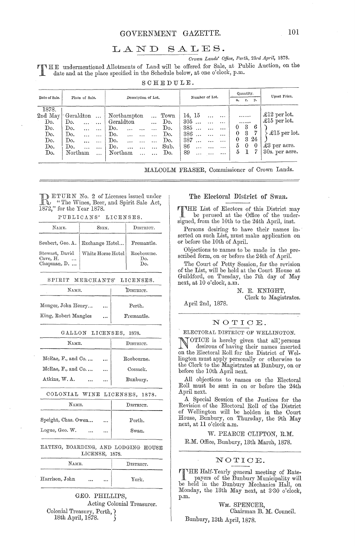## GOVERNMENT GAZETTE.

### LAND  $SALES.$

Crown Lands' Office, Perth, 23rd April, 1878.

THE undermentioned Allotments of Land will be offered for Sale, at Public Auction, on the date and at the place specified in the Schedule below, at one o'clock, p.m.

SCHEDULE.

|                                                                                |                                                                                |                |                                                                                                    |                                                                 |                       |                     |                                                               |                                                |           |                |                                                                                    |                                            | Quantity.                       |                                | Upset Price.                                                                                   |
|--------------------------------------------------------------------------------|--------------------------------------------------------------------------------|----------------|----------------------------------------------------------------------------------------------------|-----------------------------------------------------------------|-----------------------|---------------------|---------------------------------------------------------------|------------------------------------------------|-----------|----------------|------------------------------------------------------------------------------------|--------------------------------------------|---------------------------------|--------------------------------|------------------------------------------------------------------------------------------------|
| Date of Sale.                                                                  |                                                                                | Place of Sale. |                                                                                                    |                                                                 |                       | Description of Lot. |                                                               |                                                |           | Number of Lot. |                                                                                    | a,                                         | Arrest Made                     | r. p.                          |                                                                                                |
| 1878.<br>$2\mathrm{nd}\,$ May $\mid$<br>Do.<br>Do.<br>Do.<br>Do.<br>Do.<br>Do. | $\mathcal{C}$ Geraldton $\ldots$<br>Do.<br>Do.<br>Do.<br>Do.<br>Do.<br>Northam |                | $\mathbf{r}$ , $\mathbf{r}$ , $\mathbf{r}$ , $\mathbf{r}$ , $\mathbf{r}$<br>$\ddotsc$<br>$\ddotsc$ | Northampton<br>Geraldton<br>Do.<br>Do.<br>Do.<br>Do.<br>Northam | $\ddotsc$<br>$\cdots$ |                     | $_{\mathrm{Town}}$<br>Do.<br>Do.<br>Do.<br>Do.<br>Sub.<br>Do. | 14, 15<br>305<br>385<br>386<br>387<br>86<br>89 | $\ddotsc$ |                | $\ddotsc$<br>$\cdots$<br>$\cdots$<br>$\cdots$<br>$\ddotsc$<br>$\cdots$<br>$\cdots$ | $^{(1)}$<br>$\theta$<br>$\theta$<br>5<br>5 | <br><br>3<br>3<br>3<br>$\theta$ | 6<br>7<br>-24<br>$\bf{0}$<br>7 | £12 per lot.<br>$\pounds15$ per lot.<br>£15 per lot.<br>$\pounds3$ per acre.<br>30s. per acre. |

MALCOLM FRASER, Commissioner of Crown Lands.

**DETURN No. 2 of Licenses issued under**  $\mathbb{R}$  "The Wines, Beer, and Spirit Sale Act, 1872," for the Year 1878.

PUBLICANS' LICENSES.

| NAWE.                                     | SIGN.                             | DISTRICT.                |  |  |
|-------------------------------------------|-----------------------------------|--------------------------|--|--|
|                                           | Seubert, Geo. A.   Exchange Hotel | Fremantle.               |  |  |
| Stewart, David<br>Cave, H.<br>Chapman, D. | White Horse Hotel                 | Roebourne.<br>Do.<br>Do. |  |  |

SPIRIT MERCHANTS' LICENSES.

| NAME.                |               | DISTRICT.  |
|----------------------|---------------|------------|
| Monger, John Henry   | $\sim$ $\sim$ | Perth.     |
| King, Robert Mangles | $\cdots$      | Fremantle. |

|  | GALLON LICENSES, | 1878. |
|--|------------------|-------|
|--|------------------|-------|

| NAME.                    |          | DISTRICT.  |
|--------------------------|----------|------------|
| $McRae, F., and Co.$     | $\cdots$ | Roebourne. |
| McRae, $Fo$ , and Co     | $\cdots$ | Cossack.   |
| Atkins, W.A.<br>$\cdots$ | $\ldots$ | Bunbury.   |

COLONIAL WINE LICENSES, 1878.

| $N_{\rm AME.}$      | DISTRICT. |        |  |
|---------------------|-----------|--------|--|
| Speight, Chas. Owen | $\cdots$  | Perth. |  |
| Logue, Geo. W.<br>  | $\cdots$  | Swan.  |  |

EATING, BOARDING, AND LODGING HOUSE LICENSE, 1878.

| Name.          | DISTRICT. |  |       |
|----------------|-----------|--|-------|
| Harrison, John | $\ddotsc$ |  | York. |

GEO. PHILLIPS, Acting Colonial Treasurer. Colonial Treasury, Perth, ? 18th April, 1878.

## The Electoral District of Swan.

**TIME** List of Electors of this District may<br>be perused at the Office of the underbe perused at the Office of the undersigned, from the 10th to the 24th April, inst.

Persons desiring to have their names inserted on such List, must make application on or before the 10th of April.

Objections to names to be made in the prescribed form, on or before the 24th of April.

The Court of Petty Session, for the revision of the List, will be held at the Court House at Guildford, on Tuesday, the 7th day of May next, at 10 o'clock, a.m.

> N. E. KNIGHT, Clerk to Magistrates.

April 2nd, 1878.

## NOTICE.

ELECTORAL DISTRICT OF WELLINGTON.

OTICE is hereby given that all' persons desirous of having their names inserted<br>on the Electoral Roll for the District of Wellington must apply personally or otherwise to the Clerk to the Magistrates at Bunbury, on or before the 10th April next.

All objections to names on the Electoral Roll must be sent in on or before the 24th April next.

A Special Session of the Justices for the Revision of the Electoral Roll of the District of Wellington will be holden in the Court House, Bunbury, on Thursday, the 9th May<br>next, at 11 o'clock a.m.

W. PEARCE CLIFTON, R.M. R.M. Office, Bunbury, 13th March, 1878.

## NOTICE.

THE Half-Yearly general meeting of Ratepayers of the Bunbury Municipality will be held in the Bunbury Mechanics Hall, on Monday, the 13th May next, at 3.30 o'clock, p.m.

> WM. SPENCER, Chairman B. M. Council.

Bunbury, 13th April, 1878.